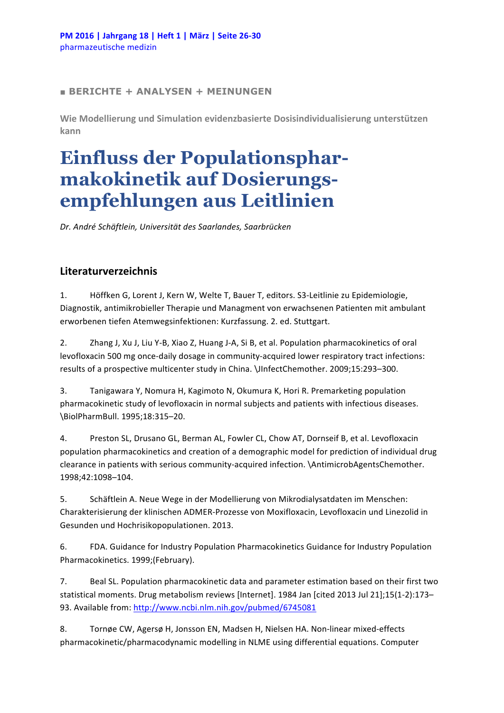## **■ BERICHTE + ANALYSEN + MEINUNGEN**

Wie Modellierung und Simulation evidenzbasierte Dosisindividualisierung unterstützen **kann**

## **Einfluss der Populationspharmakokinetik auf Dosierungsempfehlungen aus Leitlinien**

*Dr. André Schäftlein, Universität des Saarlandes, Saarbrücken*

## **Literaturverzeichnis**

1. Höffken G, Lorent J, Kern W, Welte T, Bauer T, editors. S3-Leitlinie zu Epidemiologie, Diagnostik, antimikrobieller Therapie und Managment von erwachsenen Patienten mit ambulant erworbenen tiefen Atemwegsinfektionen: Kurzfassung. 2. ed. Stuttgart.

2. Zhang J, Xu J, Liu Y-B, Xiao Z, Huang J-A, Si B, et al. Population pharmacokinetics of oral levofloxacin 500 mg once-daily dosage in community-acquired lower respiratory tract infections: results of a prospective multicenter study in China. \JInfectChemother. 2009;15:293-300.

3. Tanigawara Y, Nomura H, Kagimoto N, Okumura K, Hori R. Premarketing population pharmacokinetic study of levofloxacin in normal subjects and patients with infectious diseases. \BiolPharmBull. 1995;18:315–20.

4. Preston SL, Drusano GL, Berman AL, Fowler CL, Chow AT, Dornseif B, et al. Levofloxacin population pharmacokinetics and creation of a demographic model for prediction of individual drug clearance in patients with serious community-acquired infection. \AntimicrobAgentsChemother. 1998;42:1098–104.

5. Schäftlein A. Neue Wege in der Modellierung von Mikrodialysatdaten im Menschen: Charakterisierung der klinischen ADMER-Prozesse von Moxifloxacin, Levofloxacin und Linezolid in Gesunden und Hochrisikopopulationen. 2013.

6. FDA. Guidance for Industry Population Pharmacokinetics Guidance for Industry Population Pharmacokinetics. 1999;(February).

7. Beal SL. Population pharmacokinetic data and parameter estimation based on their first two statistical moments. Drug metabolism reviews [Internet]. 1984 Jan [cited 2013 Jul 21];15(1-2):173-93. Available from: http://www.ncbi.nlm.nih.gov/pubmed/6745081

8. Tornøe CW, Agersø H, Jonsson EN, Madsen H, Nielsen HA. Non-linear mixed-effects pharmacokinetic/pharmacodynamic modelling in NLME using differential equations. Computer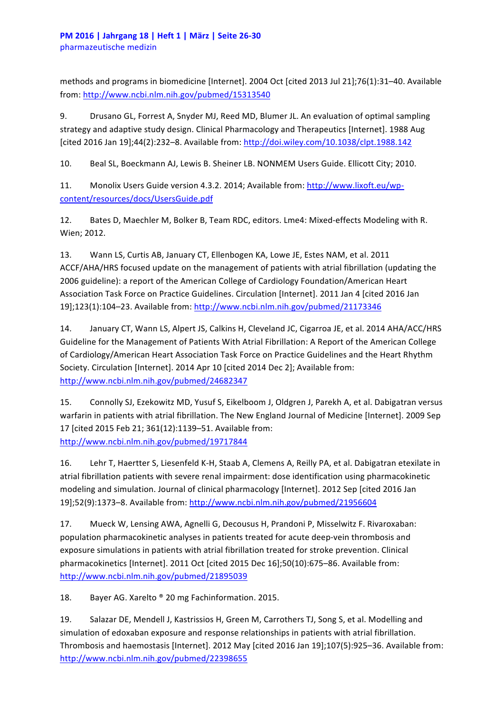methods and programs in biomedicine [Internet]. 2004 Oct [cited 2013 Jul 21];76(1):31-40. Available from: http://www.ncbi.nlm.nih.gov/pubmed/15313540

9. Drusano GL, Forrest A, Snyder MJ, Reed MD, Blumer JL. An evaluation of optimal sampling strategy and adaptive study design. Clinical Pharmacology and Therapeutics [Internet]. 1988 Aug [cited 2016 Jan 19];44(2):232-8. Available from: http://doi.wiley.com/10.1038/clpt.1988.142

10. Beal SL, Boeckmann AJ, Lewis B. Sheiner LB. NONMEM Users Guide. Ellicott City; 2010.

11. Monolix Users Guide version 4.3.2. 2014; Available from: http://www.lixoft.eu/wpcontent/resources/docs/UsersGuide.pdf

12. Bates D, Maechler M, Bolker B, Team RDC, editors. Lme4: Mixed-effects Modeling with R. Wien; 2012.

13. Wann LS, Curtis AB, January CT, Ellenbogen KA, Lowe JE, Estes NAM, et al. 2011 ACCF/AHA/HRS focused update on the management of patients with atrial fibrillation (updating the 2006 guideline): a report of the American College of Cardiology Foundation/American Heart Association Task Force on Practice Guidelines. Circulation [Internet]. 2011 Jan 4 [cited 2016 Jan 19];123(1):104–23. Available from: http://www.ncbi.nlm.nih.gov/pubmed/21173346

14. January CT, Wann LS, Alpert JS, Calkins H, Cleveland JC, Cigarroa JE, et al. 2014 AHA/ACC/HRS Guideline for the Management of Patients With Atrial Fibrillation: A Report of the American College of Cardiology/American Heart Association Task Force on Practice Guidelines and the Heart Rhythm Society. Circulation [Internet]. 2014 Apr 10 [cited 2014 Dec 2]; Available from: http://www.ncbi.nlm.nih.gov/pubmed/24682347

15. Connolly SJ, Ezekowitz MD, Yusuf S, Eikelboom J, Oldgren J, Parekh A, et al. Dabigatran versus warfarin in patients with atrial fibrillation. The New England Journal of Medicine [Internet]. 2009 Sep 17 [cited 2015 Feb 21; 361(12):1139-51. Available from: http://www.ncbi.nlm.nih.gov/pubmed/19717844

16. Lehr T, Haertter S, Liesenfeld K-H, Staab A, Clemens A, Reilly PA, et al. Dabigatran etexilate in atrial fibrillation patients with severe renal impairment: dose identification using pharmacokinetic modeling and simulation. Journal of clinical pharmacology [Internet]. 2012 Sep [cited 2016 Jan 19];52(9):1373-8. Available from: http://www.ncbi.nlm.nih.gov/pubmed/21956604

17. Mueck W, Lensing AWA, Agnelli G, Decousus H, Prandoni P, Misselwitz F. Rivaroxaban: population pharmacokinetic analyses in patients treated for acute deep-vein thrombosis and exposure simulations in patients with atrial fibrillation treated for stroke prevention. Clinical pharmacokinetics [Internet]. 2011 Oct [cited 2015 Dec 16];50(10):675-86. Available from: http://www.ncbi.nlm.nih.gov/pubmed/21895039

18. Bayer AG. Xarelto ® 20 mg Fachinformation. 2015.

19. Salazar DE, Mendell J, Kastrissios H, Green M, Carrothers TJ, Song S, et al. Modelling and simulation of edoxaban exposure and response relationships in patients with atrial fibrillation. Thrombosis and haemostasis [Internet]. 2012 May [cited 2016 Jan 19];107(5):925-36. Available from: http://www.ncbi.nlm.nih.gov/pubmed/22398655